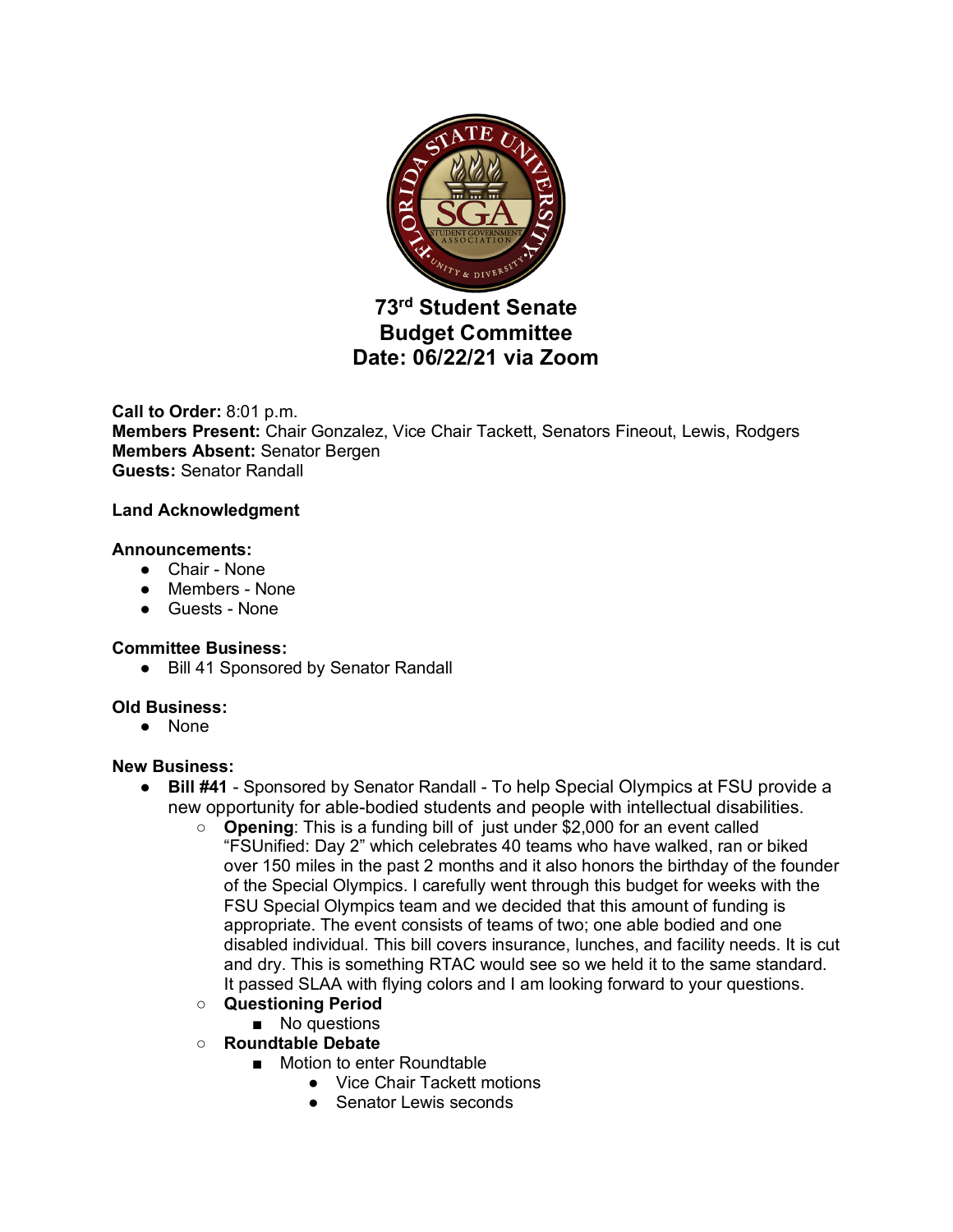

# **73rd Student Senate Budget Committee Date: 06/22/21 via Zoom**

**Call to Order:** 8:01 p.m. **Members Present:** Chair Gonzalez, Vice Chair Tackett, Senators Fineout, Lewis, Rodgers **Members Absent:** Senator Bergen **Guests:** Senator Randall

#### **Land Acknowledgment**

#### **Announcements:**

- Chair None
- Members None
- Guests None

## **Committee Business:**

● Bill 41 Sponsored by Senator Randall

## **Old Business:**

● None

## **New Business:**

- **Bill #41** Sponsored by Senator Randall To help Special Olympics at FSU provide a new opportunity for able-bodied students and people with intellectual disabilities.
	- **Opening**: This is a funding bill of just under \$2,000 for an event called "FSUnified: Day 2" which celebrates 40 teams who have walked, ran or biked over 150 miles in the past 2 months and it also honors the birthday of the founder of the Special Olympics. I carefully went through this budget for weeks with the FSU Special Olympics team and we decided that this amount of funding is appropriate. The event consists of teams of two; one able bodied and one disabled individual. This bill covers insurance, lunches, and facility needs. It is cut and dry. This is something RTAC would see so we held it to the same standard. It passed SLAA with flying colors and I am looking forward to your questions.
	- **Questioning Period**
	- No questions
	- **Roundtable Debate**
		- Motion to enter Roundtable
			- Vice Chair Tackett motions
			- Senator Lewis seconds